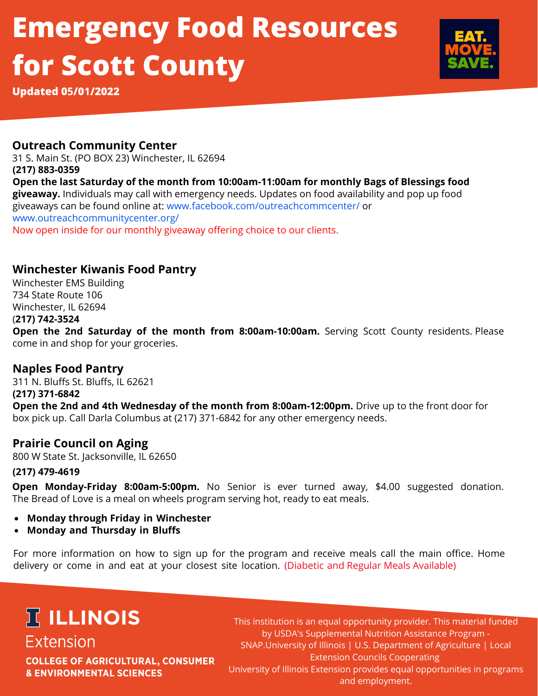# **Emergency Food Resources for Scott County**



**Updated 05/01/2022**

### **Outreach Community Center**

**(217) 883-0359 Open the last Saturday of the month from 10:00am-11:00am for monthly Bags of Blessings food giveaway.** Individuals may call with emergency needs. Updates on food availability and pop up food giveaways can be found online at: www.facebook.com/outreachcommcenter/ or www.outreachcommunitycenter.org/ Now open inside for our monthly giveaway offering choice to our clients. 31 S. Main St. (PO BOX 23) Winchester, IL 62694

### **Winchester Kiwanis Food Pantry**

Winchester EMS Building 734 State Route 106 Winchester, IL 62694 (**217) 742-3524**

**Open the 2nd Saturday of the month from 8:00am-10:00am.** Serving Scott County residents. Please come in and shop for your groceries.

### **Naples Food Pantry**

311 N. Bluffs St. Bluffs, IL 62621 **(217) 371-6842 Open the 2nd and 4th Wednesday of the month from 8:00am-12:00pm.** Drive up to the front door for box pick up. Call Darla Columbus at (217) 371-6842 for any other emergency needs.

### **Prairie Council on Aging**

800 W State St. Jacksonville, IL 62650

#### **(217) 479-4619**

**Open Monday-Friday 8:00am-5:00pm.** No Senior is ever turned away, \$4.00 suggested donation. The Bread of Love is a meal on wheels program serving hot, ready to eat meals.

- **Monday through Friday in Winchester**
- **Monday and Thursday in Bluffs**

For more information on how to sign up for the program and receive meals call the main office. Home delivery or come in and eat at your closest site location. (Diabetic and Regular Meals Available)

# **IT ILLINOIS Extension**

**COLLEGE OF AGRICULTURAL, CONSUMER & ENVIRONMENTAL SCIENCES** 

This institution is an equal opportunity provider. This material funded by USDA's Supplemental Nutrition Assistance Program - SNAP.University of Illinois | U.S. Department of Agriculture | Local Extension Councils Cooperating University of Illinois Extension provides equal opportunities in programs and employment.